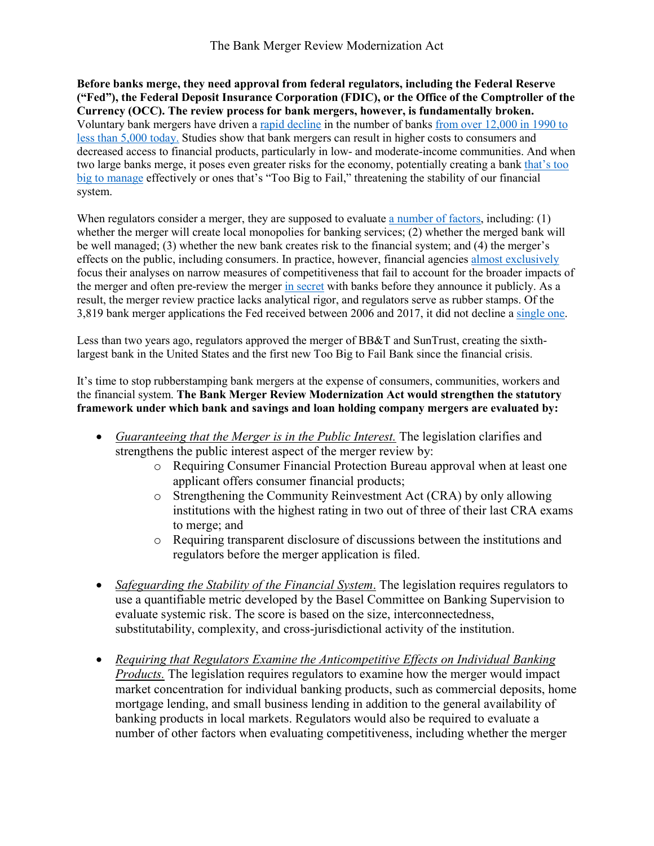**Before banks merge, they need approval from federal regulators, including the Federal Reserve ("Fed"), the Federal Deposit Insurance Corporation (FDIC), or the Office of the Comptroller of the Currency (OCC). The review process for bank mergers, however, is fundamentally broken.**  Voluntary bank mergers have driven a [rapid decline](https://www.kansascityfed.org/publicat/econrev/pdf/15q1Kowalik-Davig-Morris-Regehr.pdf) in the number of banks [from over 12,000 in 1990 to](https://www.fdic.gov/bank/statistical/stats/2019sep/fdic.pdf)  [less than 5,000 today.](https://www.fdic.gov/bank/statistical/stats/2019sep/fdic.pdf) Studies show that bank mergers can result in higher costs to consumers and decreased access to financial products, particularly in low- and moderate-income communities. And when two large banks merge, it poses even greater risks for the economy, potentially creating a bank [that's too](https://poseidon01.ssrn.com/delivery.php?ID=008123105009025101070125000067085123023052060049063082078071077111007127123116001101097117049063005046045108112093104017004113053007027029064065110123110076072004070088029067088083069110115127118022089030010066094121075025028076064080019092087020126078&EXT=pdf)  big [to manage](https://poseidon01.ssrn.com/delivery.php?ID=008123105009025101070125000067085123023052060049063082078071077111007127123116001101097117049063005046045108112093104017004113053007027029064065110123110076072004070088029067088083069110115127118022089030010066094121075025028076064080019092087020126078&EXT=pdf) effectively or ones that's "Too Big to Fail," threatening the stability of our financial system.

When regulators consider a merger, they are supposed to evaluate [a number of factors,](https://corpgov.law.harvard.edu/2019/09/17/modernizing-bank-merger-review/) including: (1) whether the merger will create local monopolies for banking services; (2) whether the merged bank will be well managed; (3) whether the new bank creates risk to the financial system; and (4) the merger's effects on the public, including consumers. In practice, however, financial agencies [almost exclusively](https://www.federalreserve.gov/bankinforeg/competitive-effects-mergers-acquisitions-faqs.htm) focus their analyses on narrow measures of competitiveness that fail to account for the broader impacts of the merger and often pre-review the merger [in secret](https://www.spglobal.com/marketintelligence/en/news-insights/trending/skuWlsYJ53X0dyRTQxiB-g2) with banks before they announce it publicly. As a result, the merger review practice lacks analytical rigor, and regulators serve as rubber stamps. Of the 3,819 bank merger applications the Fed received between 2006 and 2017, it did not decline a [single one.](https://www.warren.senate.gov/imo/media/doc/Powell%20Response%20re%20Mergers.pdf)

Less than two years ago, regulators approved the merger of BB&T and SunTrust, creating the sixthlargest bank in the United States and the first new Too Big to Fail Bank since the financial crisis.

It's time to stop rubberstamping bank mergers at the expense of consumers, communities, workers and the financial system. **The Bank Merger Review Modernization Act would strengthen the statutory framework under which bank and savings and loan holding company mergers are evaluated by:**

- *Guaranteeing that the Merger is in the Public Interest.* The legislation clarifies and strengthens the public interest aspect of the merger review by:
	- o Requiring Consumer Financial Protection Bureau approval when at least one applicant offers consumer financial products;
	- o Strengthening the Community Reinvestment Act (CRA) by only allowing institutions with the highest rating in two out of three of their last CRA exams to merge; and
	- o Requiring transparent disclosure of discussions between the institutions and regulators before the merger application is filed.
- *Safeguarding the Stability of the Financial System*. The legislation requires regulators to use a quantifiable metric developed by the Basel Committee on Banking Supervision to evaluate systemic risk. The score is based on the size, interconnectedness, substitutability, complexity, and cross-jurisdictional activity of the institution.
- *Requiring that Regulators Examine the Anticompetitive Effects on Individual Banking Products.* The legislation requires regulators to examine how the merger would impact market concentration for individual banking products, such as commercial deposits, home mortgage lending, and small business lending in addition to the general availability of banking products in local markets. Regulators would also be required to evaluate a number of other factors when evaluating competitiveness, including whether the merger